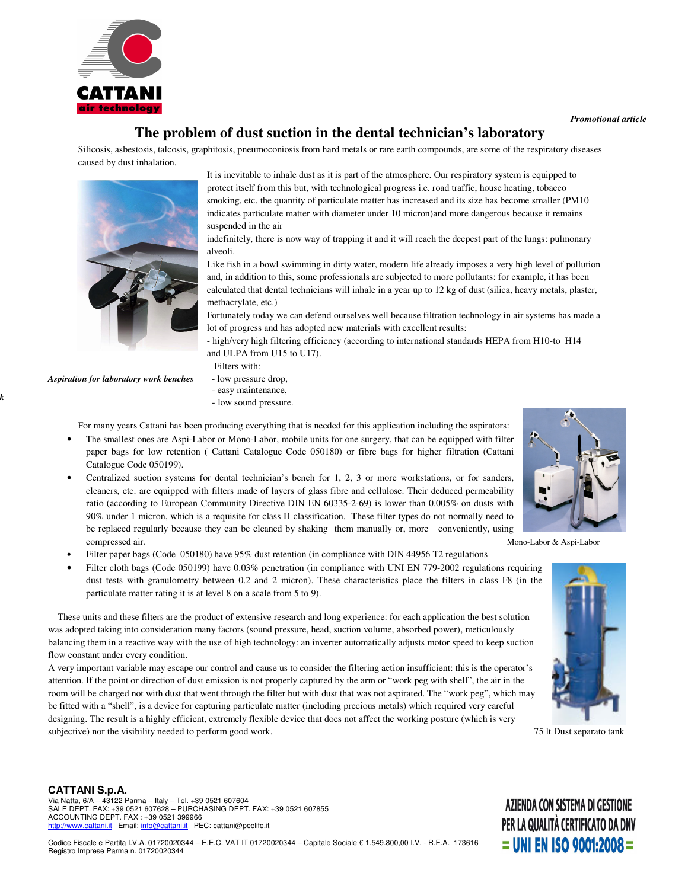

## **The problem of dust suction in the dental technician's laboratory**

Silicosis, asbestosis, talcosis, graphitosis, pneumoconiosis from hard metals or rare earth compounds, are some of the respiratory diseases caused by dust inhalation.



It is inevitable to inhale dust as it is part of the atmosphere. Our respiratory system is equipped to protect itself from this but, with technological progress i.e. road traffic, house heating, tobacco smoking, etc. the quantity of particulate matter has increased and its size has become smaller (PM10) indicates particulate matter with diameter under 10 micron)and more dangerous because it remains suspended in the air

indefinitely, there is now way of trapping it and it will reach the deepest part of the lungs: pulmonary alveoli.

Like fish in a bowl swimming in dirty water, modern life already imposes a very high level of pollution and, in addition to this, some professionals are subjected to more pollutants: for example, it has been calculated that dental technicians will inhale in a year up to 12 kg of dust (silica, heavy metals, plaster, methacrylate, etc.)

Fortunately today we can defend ourselves well because filtration technology in air systems has made a lot of progress and has adopted new materials with excellent results:

- high/very high filtering efficiency (according to international standards HEPA from H10-to H14 and ULPA from U15 to U17).

Filters with:

*Aspiration for laboratory work benches* - low pressure drop,

*Apiration for work*

- easy maintenance,
- low sound pressure.
- For many years Cattani has been producing everything that is needed for this application including the aspirators:
- The smallest ones are Aspi-Labor or Mono-Labor, mobile units for one surgery, that can be equipped with filter paper bags for low retention ( Cattani Catalogue Code 050180) or fibre bags for higher filtration (Cattani Catalogue Code 050199).
- Centralized suction systems for dental technician's bench for 1, 2, 3 or more workstations, or for sanders, cleaners, etc. are equipped with filters made of layers of glass fibre and cellulose. Their deduced permeability ratio (according to European Community Directive DIN EN 60335-2-69) is lower than 0.005% on dusts with 90% under 1 micron, which is a requisite for class H classification. These filter types do not normally need to be replaced regularly because they can be cleaned by shaking them manually or, more conveniently, using compressed air. Mono-Labor & Aspi-Labor
- Filter paper bags (Code 050180) have 95% dust retention (in compliance with DIN 44956 T2 regulations
- Filter cloth bags (Code 050199) have 0.03% penetration (in compliance with UNI EN 779-2002 regulations requiring dust tests with granulometry between 0.2 and 2 micron). These characteristics place the filters in class F8 (in the particulate matter rating it is at level 8 on a scale from 5 to 9).

These units and these filters are the product of extensive research and long experience: for each application the best solution was adopted taking into consideration many factors (sound pressure, head, suction volume, absorbed power), meticulously balancing them in a reactive way with the use of high technology: an inverter automatically adjusts motor speed to keep suction flow constant under every condition.

A very important variable may escape our control and cause us to consider the filtering action insufficient: this is the operator's attention. If the point or direction of dust emission is not properly captured by the arm or "work peg with shell", the air in the room will be charged not with dust that went through the filter but with dust that was not aspirated. The "work peg", which may be fitted with a "shell", is a device for capturing particulate matter (including precious metals) which required very careful designing. The result is a highly efficient, extremely flexible device that does not affect the working posture (which is very subjective) nor the visibility needed to perform good work. 75 lt Dust separato tank





**CATTANI S.p.A.** Via Natta, 6/A – 43122 Parma – Italy – Tel. +39 0521 607604 SALE DEPT. FAX: +39 0521 607628 – PURCHASING DEPT. FAX: +39 0521 607855 ACCOUNTING DEPT. FAX : +39 0521 399966 http://www.cattani.it Email: info@cattani.it PEC: cattani@peclife.it

Codice Fiscale e Partita I.V.A. 01720020344 – E.E.C. VAT IT 01720020344 – Capitale Sociale € 1.549.800,00 I.V. - R.E.A. 173616 Registro Imprese Parma n. 01720020344

## AZIENDA CON SISTEMA DI GESTIONE PER LA QUALITÀ CERTIFICATO DA DNV  $=$  UNI EN ISO 9001:2008  $=$